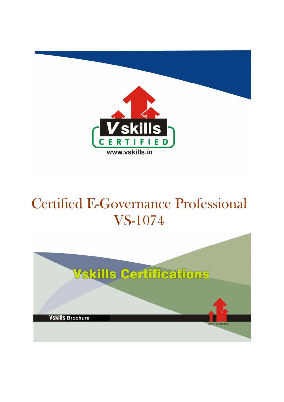

# Certified E-Governance Professional VS-1074

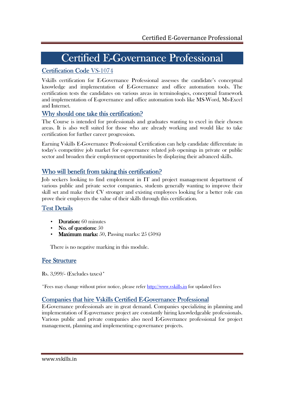# Certified E-Governance Professional

## Certification Code VS-1074

Vskills certification for E-Governance Professional assesses the candidate's conceptual knowledge and implementation of E-Governance and office automation tools. The certification tests the candidates on various areas in terminologies, conceptual framework and implementation of E-governance and office automation tools like MS-Word, Ms-Excel and Internet.

### Why should one take this certification?

The Course is intended for professionals and graduates wanting to excel in their chosen areas. It is also well suited for those who are already working and would like to take certification for further career progression.

Earning Vskills E-Governance Professional Certification can help candidate differentiate in today's competitive job market for e-governance related job openings in private or public sector and broaden their employment opportunities by displaying their advanced skills.

### Who will benefit from taking this certification?

Job seekers looking to find employment in IT and project management department of various public and private sector companies, students generally wanting to improve their skill set and make their CV stronger and existing employees looking for a better role can prove their employers the value of their skills through this certification.

## **Test Details**

- Duration: 60 minutes
- No. of questions:  $50$
- **Maximum marks:** 50, Passing marks:  $25(50\%)$

There is no negative marking in this module.

### Fee Structure

Rs. 3,999/- (Excludes taxes)\*

\*Fees may change without prior notice, please refer http://www.vskills.in for updated fees

### Companies that hire Vskills Certified E-Governance Professional

E-Governance professionals are in great demand. Companies specializing in planning and implementation of E-governance project are constantly hiring knowledgeable professionals. Various public and private companies also need E-Governance professional for project management, planning and implementing e-governance projects.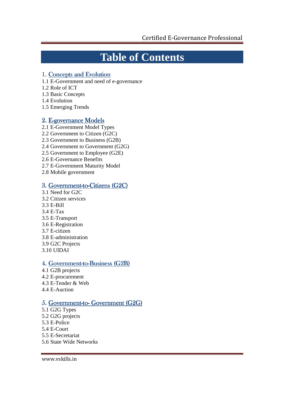## **Table of Contents**

#### 1. Concepts and Evolution

- 1.1 E-Government and need of e-governance
- 1.2 Role of ICT
- 1.3 Basic Concepts
- 1.4 Evolution
- 1.5 Emerging Trends

#### 2. E-governance Models

- 2.1 E-Government Model Types
- 2.2 Government to Citizen (G2C)
- 2.3 Government to Business (G2B)
- 2.4 Government to Government (G2G)
- 2.5 Government to Employee (G2E)
- 2.6 E-Governance Benefits
- 2.7 E-Government Maturity Model
- 2.8 Mobile government

#### 3. Government-to-Citizens (G2C)

- 3.1 Need for G2C
- 3.2 Citizen services
- 3.3 E-Bill
- 3.4 E-Tax
- 3.5 E-Transport
- 3.6 E-Registration
- 3.7 E-citizen
- 3.8 E-administration
- 3.9 G2C Projects
- 3.10 UIDAI

#### 4. Government-to-Business (G2B)

- 4.1 G2B projects 4.2 E-procurement
- 4.3 E-Tender & Web
- 4.4 E-Auction

#### 5. Government-to-Government (G2G)

- 5.1 G2G Types 5.2 G2G projects
- 5.3 E-Police
- 5.4 E-Court
- 5.5 E-Secretariat
- 5.6 State Wide Networks

www.vskills.in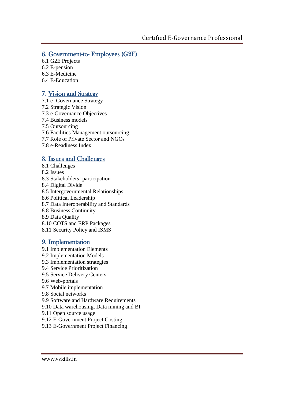### 6. Government-to-Employees  $(G2E)$

- 6.1 G2E Projects
- 6.2 E-pension
- 6.3 E-Medicine
- 6.4 E-Education

#### 7. Vision and Strategy

- 7.1 e- Governance Strategy
- 7.2 Strategic Vision
- 7.3 e-Governance Objectives
- 7.4 Business models
- 7.5 Outsourcing
- 7.6 Facilities Management outsourcing
- 7.7 Role of Private Sector and NGOs
- 7.8 e-Readiness Index

### 8. Issues and Challenges

- 8.1 Challenges
- 8.2 Issues
- 8.3 Stakeholders' participation
- 8.4 Digital Divide
- 8.5 Intergovernmental Relationships
- 8.6 Political Leadership
- 8.7 Data Interoperability and Standards
- 8.8 Business Continuity
- 8.9 Data Quality
- 8.10 COTS and ERP Packages
- 8.11 Security Policy and ISMS

### 9. Implementation

- 9.1 Implementation Elements
- 9.2 Implementation Models
- 9.3 Implementation strategies
- 9.4 Service Prioritization
- 9.5 Service Delivery Centers
- 9.6 Web-portals
- 9.7 Mobile implementation
- 9.8 Social networks
- 9.9 Software and Hardware Requirements
- 9.10 Data warehousing, Data mining and BI
- 9.11 Open source usage
- 9.12 E-Government Project Costing
- 9.13 E-Government Project Financing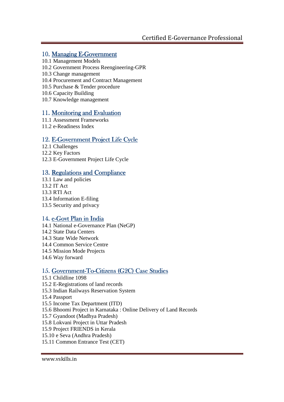#### 10. Managing E-Government

- 10.1 Management Models
- 10.2 Government Process Reengineering-GPR
- 10.3 Change management
- 10.4 Procurement and Contract Management
- 10.5 Purchase & Tender procedure
- 10.6 Capacity Building
- 10.7 Knowledge management

#### 11. Monitoring and Evaluation

- 11.1 Assessment Frameworks
- 11.2 e-Readiness Index

### 12. E-Government Project Life Cycle

- 12.1 Challenges
- 12.2 Key Factors
- 12.3 E-Government Project Life Cycle

### 13. Regulations and Compliance

13.1 Law and policies 13.2 IT Act 13.3 RTI Act 13.4 Information E-filing 13.5 Security and privacy

### 14. e-Govt Plan in India

14.1 National e-Governance Plan (NeGP) 14.2 State Data Centers 14.3 State Wide Network 14.4 Common Service Centre 14.5 Mission Mode Projects 14.6 Way forward

### 15. Government-To-Citizens (G2C) Case Studies

- 15.1 Childline 1098 15.2 E-Registrations of land records 15.3 Indian Railways Reservation System 15.4 Passport 15.5 Income Tax Department (ITD) 15.6 Bhoomi Project in Karnataka : Online Delivery of Land Records 15.7 Gyandoot (Madhya Pradesh)
- 15.8 Lokvani Project in Uttar Pradesh
- 15.9 Project FRIENDS in Kerala
- 15.10 e Seva (Andhra Pradesh)
- 15.11 Common Entrance Test (CET)

#### www.vskills.in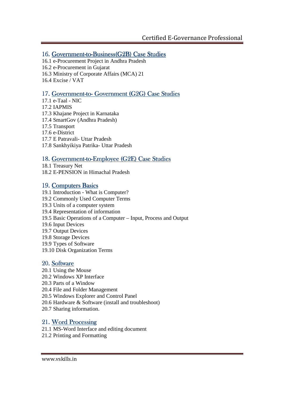#### 16. Government-to-Business(G2B) Case Studies

- 16.1 e-Procurement Project in Andhra Pradesh
- 16.2 e-Procurement in Gujarat
- 16.3 Ministry of Corporate Affairs (MCA) 21
- 16.4 Excise / VAT

### 17. Government-to-Government (G2G) Case Studies

- 17.1 e-Taal NIC
- 17.2 IAPMIS
- 17.3 Khajane Project in Karnataka
- 17.4 SmartGov (Andhra Pradesh)
- 17.5 Transport
- 17.6 e-District
- 17.7 E Patravali- Uttar Pradesh
- 17.8 Sankhyikiya Patrika- Uttar Pradesh

### 18. Government-to-Employee (G2E) Case Studies

18.1 Treasury Net 18.2 E-PENSION in Himachal Pradesh

#### 19. Computers Basics

- 19.1 Introduction What is Computer? 19.2 Commonly Used Computer Terms
- 19.3 Units of a computer system
- 19.4 Representation of information
- 19.5 Basic Operations of a Computer Input, Process and Output
- 19.6 Input Devices
- 19.7 Output Devices
- 19.8 Storage Devices
- 19.9 Types of Software
- 19.10 Disk Organization Terms

### 20. Software

- 20.1 Using the Mouse
- 20.2 Windows XP Interface
- 20.3 Parts of a Window
- 20.4 File and Folder Management
- 20.5 Windows Explorer and Control Panel
- 20.6 Hardware & Software (install and troubleshoot)
- 20.7 Sharing information.

### 21. Word Processing

- 21.1 MS-Word Interface and editing document
- 21.2 Printing and Formatting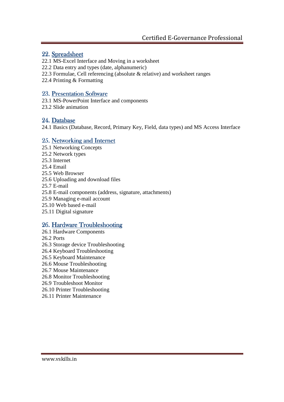#### 22. Spreadsheet

- 22.1 MS-Excel Interface and Moving in a worksheet
- 22.2 Data entry and types (date, alphanumeric)
- 22.3 Formulae, Cell referencing (absolute & relative) and worksheet ranges
- 22.4 Printing & Formatting

#### 23. Presentation Software

- 23.1 MS-PowerPoint Interface and components
- 23.2 Slide animation

#### 24. Database

24.1 Basics (Database, Record, Primary Key, Field, data types) and MS Access Interface

#### 25. Networking and Internet

- 25.1 Networking Concepts
- 25.2 Network types
- 25.3 Internet
- 25.4 Email
- 25.5 Web Browser
- 25.6 Uploading and download files
- 25.7 E-mail
- 25.8 E-mail components (address, signature, attachments)
- 25.9 Managing e-mail account
- 25.10 Web based e-mail
- 25.11 Digital signature

#### 26. Hardware Troubleshooting

- 26.1 Hardware Components
- 26.2 Ports
- 26.3 Storage device Troubleshooting
- 26.4 Keyboard Troubleshooting
- 26.5 Keyboard Maintenance
- 26.6 Mouse Troubleshooting
- 26.7 Mouse Maintenance
- 26.8 Monitor Troubleshooting
- 26.9 Troubleshoot Monitor
- 26.10 Printer Troubleshooting
- 26.11 Printer Maintenance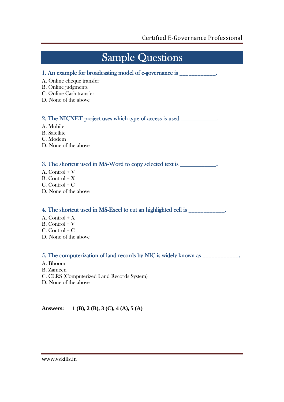## **Sample Questions**

- 1. An example for broadcasting model of e-governance is \_\_\_\_\_\_\_\_\_\_\_\_\_.
- A. Online cheque transfer
- B. Online judgments
- C. Online Cash transfer
- D. None of the above

#### 2. The NICNET project uses which type of access is used  $\blacksquare$

- A. Mobile
- B. Satellite
- C. Modem
- D. None of the above

#### 3. The shortcut used in MS-Word to copy selected text is \_\_\_\_\_\_\_\_\_\_\_\_\_.

- A. Control + V
- $B.$  Control +  $X$
- C. Control + C
- D. None of the above

#### 4. The shortcut used in MS-Excel to cut an highlighted cell is \_\_\_\_\_\_\_\_\_\_\_\_\_.

- A. Control  $+ X$
- $B.$  Control + V
- $C.$  Control +  $C$
- D. None of the above

#### 5. The computerization of land records by NIC is widely known as  $\frac{1}{\sqrt{2}}$

- A. Bhoomi
- B. Zameen
- C. CLRS (Computerized Land Records System)
- D. None of the above

**Answers: 1 (B), 2 (B), 3 (C), 4 (A), 5 (A)**